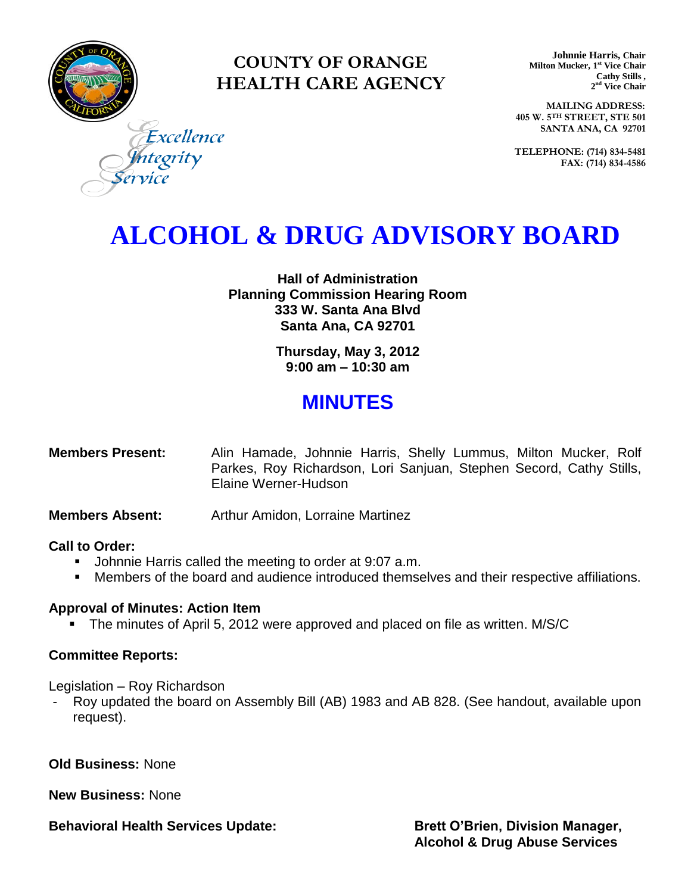

### **COUNTY OF ORANGE HEALTH CARE AGENCY**

**Johnnie Harris, Chair Milton Mucker, 1 st Vice Chair Cathy Stills , 2 nd Vice Chair**

**MAILING ADDRESS: 405 W. 5TH STREET, STE 501 SANTA ANA, CA 92701**

**TELEPHONE: (714) 834-5481 FAX: (714) 834-4586**

tegrity

Excellence

# **ALCOHOL & DRUG ADVISORY BOARD**

**Hall of Administration Planning Commission Hearing Room 333 W. Santa Ana Blvd Santa Ana, CA 92701**

> **Thursday, May 3, 2012 9:00 am – 10:30 am**

## **MINUTES**

| <b>Members Present:</b> |                      |  |  | Alin Hamade, Johnnie Harris, Shelly Lummus, Milton Mucker, Rolf     |  |  |
|-------------------------|----------------------|--|--|---------------------------------------------------------------------|--|--|
|                         |                      |  |  | Parkes, Roy Richardson, Lori Sanjuan, Stephen Secord, Cathy Stills, |  |  |
|                         | Elaine Werner-Hudson |  |  |                                                                     |  |  |

**Members Absent:** Arthur Amidon, Lorraine Martinez

#### **Call to Order:**

- **Johnnie Harris called the meeting to order at 9:07 a.m.**
- Members of the board and audience introduced themselves and their respective affiliations.

#### **Approval of Minutes: Action Item**

The minutes of April 5, 2012 were approved and placed on file as written. M/S/C

#### **Committee Reports:**

Legislation – Roy Richardson

- Roy updated the board on Assembly Bill (AB) 1983 and AB 828. (See handout, available upon request).

**Old Business:** None

**New Business:** None

**Behavioral Health Services Update: Brett O'Brien, Division Manager, Brett O'Brien, Division Manager,**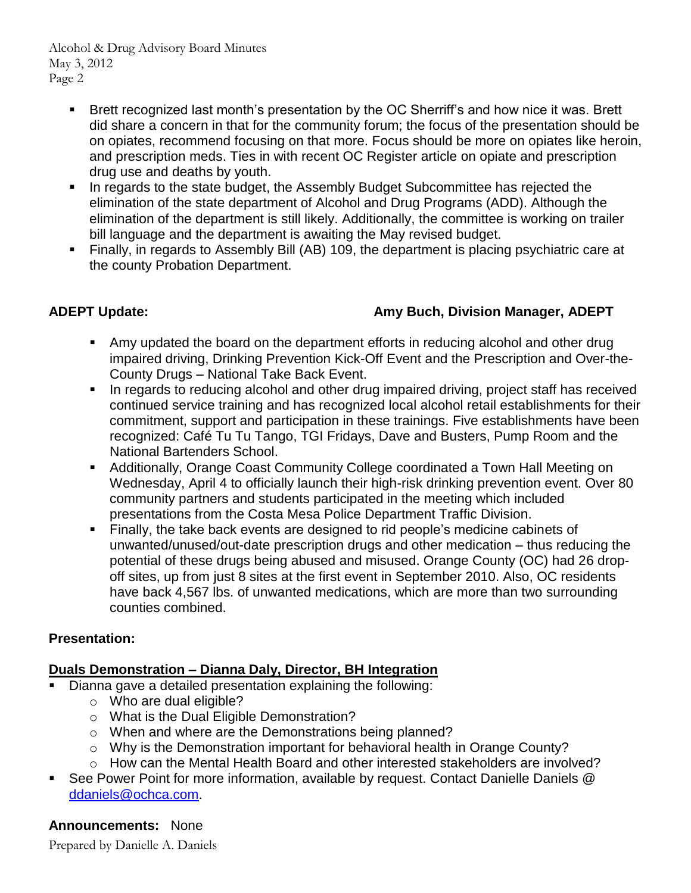Alcohol & Drug Advisory Board Minutes May 3, 2012 Page 2

- Brett recognized last month's presentation by the OC Sherriff's and how nice it was. Brett did share a concern in that for the community forum; the focus of the presentation should be on opiates, recommend focusing on that more. Focus should be more on opiates like heroin, and prescription meds. Ties in with recent OC Register article on opiate and prescription drug use and deaths by youth.
- In regards to the state budget, the Assembly Budget Subcommittee has rejected the elimination of the state department of Alcohol and Drug Programs (ADD). Although the elimination of the department is still likely. Additionally, the committee is working on trailer bill language and the department is awaiting the May revised budget.
- Finally, in regards to Assembly Bill (AB) 109, the department is placing psychiatric care at the county Probation Department.

#### **ADEPT Update: Amy Buch, Division Manager, ADEPT**

- Amy updated the board on the department efforts in reducing alcohol and other drug impaired driving, Drinking Prevention Kick-Off Event and the Prescription and Over-the-County Drugs – National Take Back Event.
- In regards to reducing alcohol and other drug impaired driving, project staff has received continued service training and has recognized local alcohol retail establishments for their commitment, support and participation in these trainings. Five establishments have been recognized: Café Tu Tu Tango, TGI Fridays, Dave and Busters, Pump Room and the National Bartenders School.
- Additionally, Orange Coast Community College coordinated a Town Hall Meeting on Wednesday, April 4 to officially launch their high-risk drinking prevention event. Over 80 community partners and students participated in the meeting which included presentations from the Costa Mesa Police Department Traffic Division.
- Finally, the take back events are designed to rid people's medicine cabinets of unwanted/unused/out-date prescription drugs and other medication – thus reducing the potential of these drugs being abused and misused. Orange County (OC) had 26 dropoff sites, up from just 8 sites at the first event in September 2010. Also, OC residents have back 4,567 lbs. of unwanted medications, which are more than two surrounding counties combined.

#### **Presentation:**

#### **Duals Demonstration – Dianna Daly, Director, BH Integration**

- Dianna gave a detailed presentation explaining the following:
	- o Who are dual eligible?
	- o What is the Dual Eligible Demonstration?
	- o When and where are the Demonstrations being planned?
	- o Why is the Demonstration important for behavioral health in Orange County?
	- o How can the Mental Health Board and other interested stakeholders are involved?
- See Power Point for more information, available by request. Contact Danielle Daniels @ [ddaniels@ochca.com.](mailto:ddaniels@ochca.com)

#### **Announcements:** None

Prepared by Danielle A. Daniels